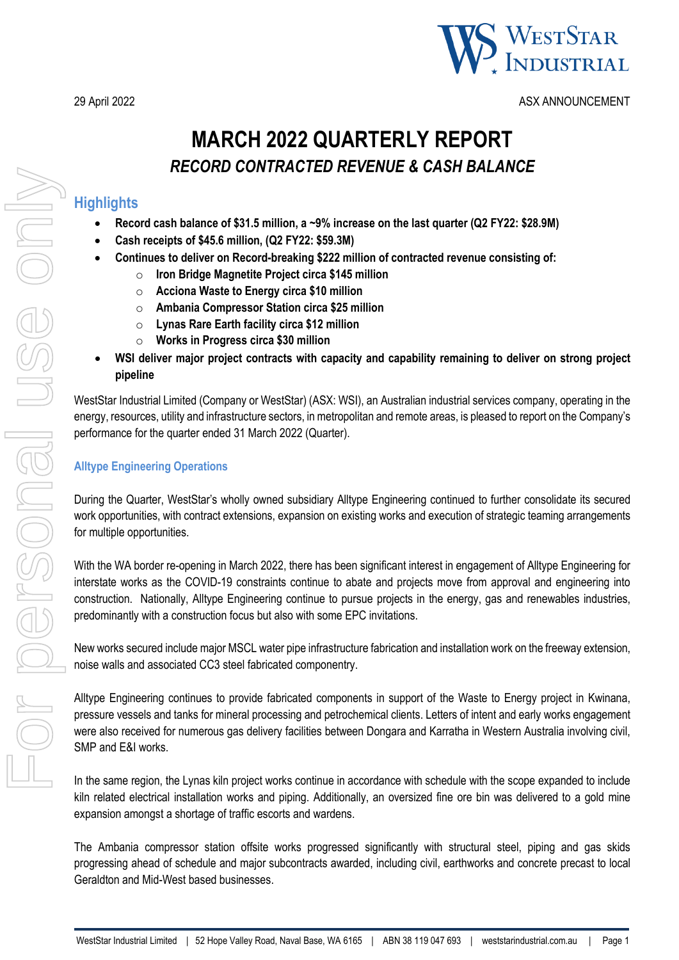

29 April 2022 ASX ANNOUNCEMENT

# **MARCH 2022 QUARTERLY REPORT** *RECORD CONTRACTED REVENUE & CASH BALANCE*

### **Highlights**

- **Record cash balance of \$31.5 million, a ~9% increase on the last quarter (Q2 FY22: \$28.9M)**
- **Cash receipts of \$45.6 million, (Q2 FY22: \$59.3M)**
- **Continues to deliver on Record-breaking \$222 million of contracted revenue consisting of:** 
	- o **Iron Bridge Magnetite Project circa \$145 million**
	- o **Acciona Waste to Energy circa \$10 million**
	- o **Ambania Compressor Station circa \$25 million**
	- o **Lynas Rare Earth facility circa \$12 million**
	- o **Works in Progress circa \$30 million**
- **WSI deliver major project contracts with capacity and capability remaining to deliver on strong project pipeline**

WestStar Industrial Limited (Company or WestStar) (ASX: WSI), an Australian industrial services company, operating in the energy, resources, utility and infrastructure sectors, in metropolitan and remote areas, is pleased to report on the Company's performance for the quarter ended 31 March 2022 (Quarter).

### **Alltype Engineering Operations**

During the Quarter, WestStar's wholly owned subsidiary Alltype Engineering continued to further consolidate its secured work opportunities, with contract extensions, expansion on existing works and execution of strategic teaming arrangements for multiple opportunities.

With the WA border re-opening in March 2022, there has been significant interest in engagement of Alltype Engineering for interstate works as the COVID-19 constraints continue to abate and projects move from approval and engineering into construction. Nationally, Alltype Engineering continue to pursue projects in the energy, gas and renewables industries, predominantly with a construction focus but also with some EPC invitations.

New works secured include major MSCL water pipe infrastructure fabrication and installation work on the freeway extension, noise walls and associated CC3 steel fabricated componentry.

Alltype Engineering continues to provide fabricated components in support of the Waste to Energy project in Kwinana, pressure vessels and tanks for mineral processing and petrochemical clients. Letters of intent and early works engagement were also received for numerous gas delivery facilities between Dongara and Karratha in Western Australia involving civil, SMP and E&I works.

In the same region, the Lynas kiln project works continue in accordance with schedule with the scope expanded to include kiln related electrical installation works and piping. Additionally, an oversized fine ore bin was delivered to a gold mine expansion amongst a shortage of traffic escorts and wardens.

The Ambania compressor station offsite works progressed significantly with structural steel, piping and gas skids progressing ahead of schedule and major subcontracts awarded, including civil, earthworks and concrete precast to local Geraldton and Mid-West based businesses.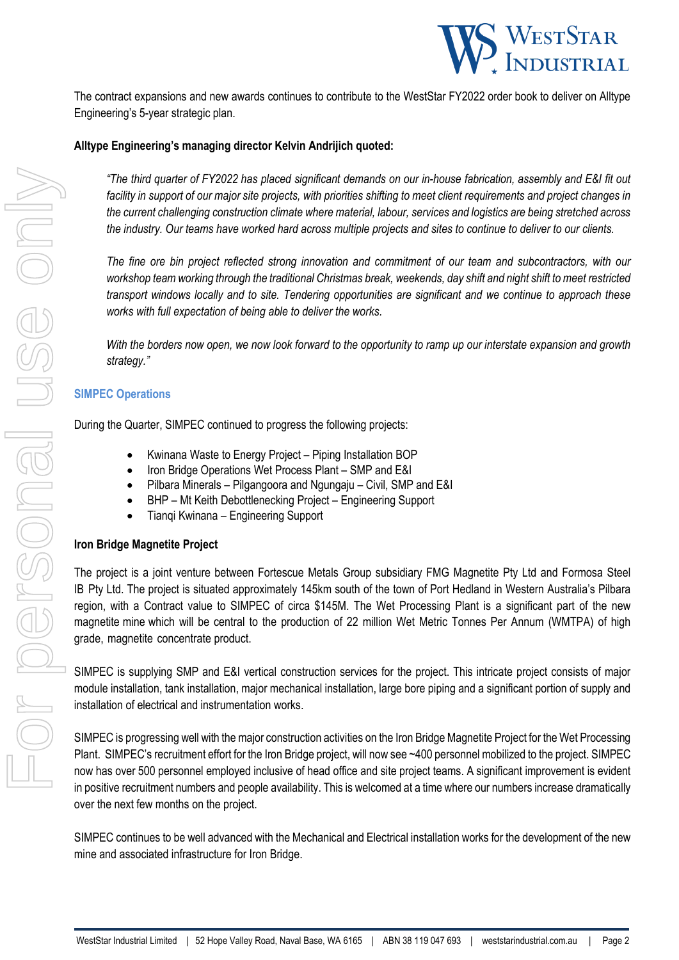

The contract expansions and new awards continues to contribute to the WestStar FY2022 order book to deliver on Alltype Engineering's 5-year strategic plan.

#### **Alltype Engineering's managing director Kelvin Andrijich quoted:**

*"The third quarter of FY2022 has placed significant demands on our in-house fabrication, assembly and E&I fit out facility in support of our major site projects, with priorities shifting to meet client requirements and project changes in the current challenging construction climate where material, labour, services and logistics are being stretched across the industry. Our teams have worked hard across multiple projects and sites to continue to deliver to our clients.* 

*The fine ore bin project reflected strong innovation and commitment of our team and subcontractors, with our workshop team working through the traditional Christmas break, weekends, day shift and night shift to meet restricted transport windows locally and to site. Tendering opportunities are significant and we continue to approach these works with full expectation of being able to deliver the works.* 

*With the borders now open, we now look forward to the opportunity to ramp up our interstate expansion and growth strategy."* 

#### **SIMPEC Operations**

During the Quarter, SIMPEC continued to progress the following projects:

- Kwinana Waste to Energy Project Piping Installation BOP
- Iron Bridge Operations Wet Process Plant SMP and E&I
- Pilbara Minerals Pilgangoora and Ngungaju Civil, SMP and E&I
- BHP Mt Keith Debottlenecking Project Engineering Support
- Tianqi Kwinana Engineering Support

#### **Iron Bridge Magnetite Project**

The project is a joint venture between Fortescue Metals Group subsidiary FMG Magnetite Pty Ltd and Formosa Steel IB Pty Ltd. The project is situated approximately 145km south of the town of Port Hedland in Western Australia's Pilbara region, with a Contract value to SIMPEC of circa \$145M. The Wet Processing Plant is a significant part of the new magnetite mine which will be central to the production of 22 million Wet Metric Tonnes Per Annum (WMTPA) of high grade, magnetite concentrate product.

SIMPEC is supplying SMP and E&I vertical construction services for the project. This intricate project consists of major module installation, tank installation, major mechanical installation, large bore piping and a significant portion of supply and installation of electrical and instrumentation works.

SIMPEC is progressing well with the major construction activities on the Iron Bridge Magnetite Project for the Wet Processing Plant. SIMPEC's recruitment effort for the Iron Bridge project, will now see ~400 personnel mobilized to the project. SIMPEC now has over 500 personnel employed inclusive of head office and site project teams. A significant improvement is evident in positive recruitment numbers and people availability. This is welcomed at a time where our numbers increase dramatically over the next few months on the project.

SIMPEC continues to be well advanced with the Mechanical and Electrical installation works for the development of the new mine and associated infrastructure for Iron Bridge.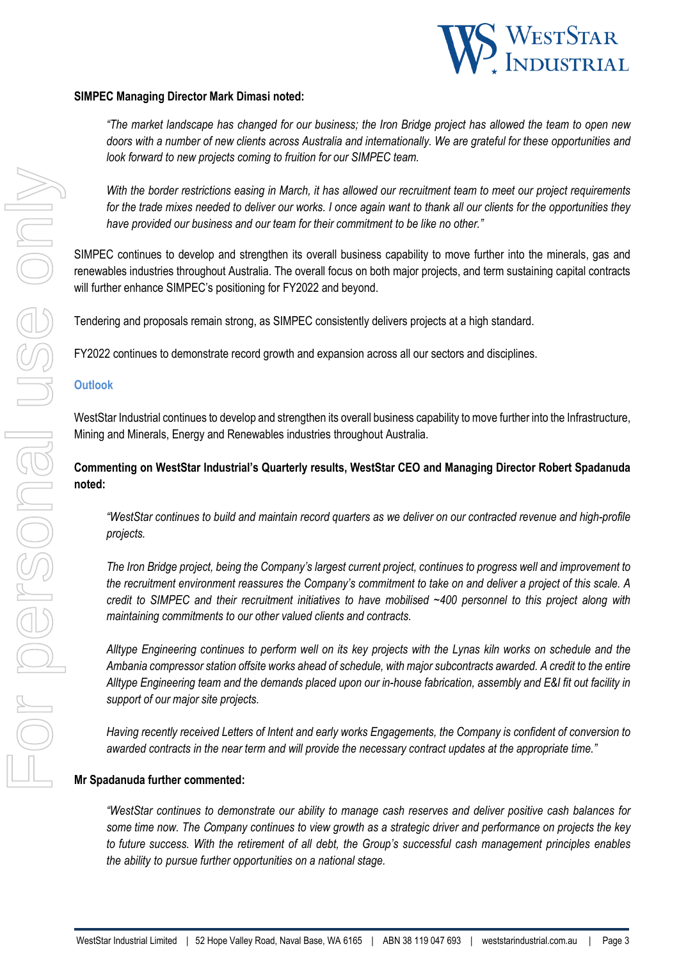

#### **SIMPEC Managing Director Mark Dimasi noted:**

*"The market landscape has changed for our business; the Iron Bridge project has allowed the team to open new doors with a number of new clients across Australia and internationally. We are grateful for these opportunities and look forward to new projects coming to fruition for our SIMPEC team.* 

*With the border restrictions easing in March, it has allowed our recruitment team to meet our project requirements for the trade mixes needed to deliver our works. I once again want to thank all our clients for the opportunities they have provided our business and our team for their commitment to be like no other."*

SIMPEC continues to develop and strengthen its overall business capability to move further into the minerals, gas and renewables industries throughout Australia. The overall focus on both major projects, and term sustaining capital contracts will further enhance SIMPEC's positioning for FY2022 and beyond.

Tendering and proposals remain strong, as SIMPEC consistently delivers projects at a high standard.

FY2022 continues to demonstrate record growth and expansion across all our sectors and disciplines.

#### **Outlook**

WestStar Industrial continues to develop and strengthen its overall business capability to move further into the Infrastructure, Mining and Minerals, Energy and Renewables industries throughout Australia.

### **Commenting on WestStar Industrial's Quarterly results, WestStar CEO and Managing Director Robert Spadanuda noted:**

*"WestStar continues to build and maintain record quarters as we deliver on our contracted revenue and high-profile projects.*

*The Iron Bridge project, being the Company's largest current project, continues to progress well and improvement to the recruitment environment reassures the Company's commitment to take on and deliver a project of this scale. A credit to SIMPEC and their recruitment initiatives to have mobilised ~400 personnel to this project along with maintaining commitments to our other valued clients and contracts.*

*Alltype Engineering continues to perform well on its key projects with the Lynas kiln works on schedule and the Ambania compressor station offsite works ahead of schedule, with major subcontracts awarded. A credit to the entire Alltype Engineering team and the demands placed upon our in-house fabrication, assembly and E&I fit out facility in support of our major site projects.*

*Having recently received Letters of Intent and early works Engagements, the Company is confident of conversion to awarded contracts in the near term and will provide the necessary contract updates at the appropriate time."* 

#### **Mr Spadanuda further commented:**

*"WestStar continues to demonstrate our ability to manage cash reserves and deliver positive cash balances for some time now. The* C*ompany continues to view growth as a strategic driver and performance on projects the key to future success. With the retirement of all debt, the Group's successful cash management principles enables the ability to pursue further opportunities on a national stage.*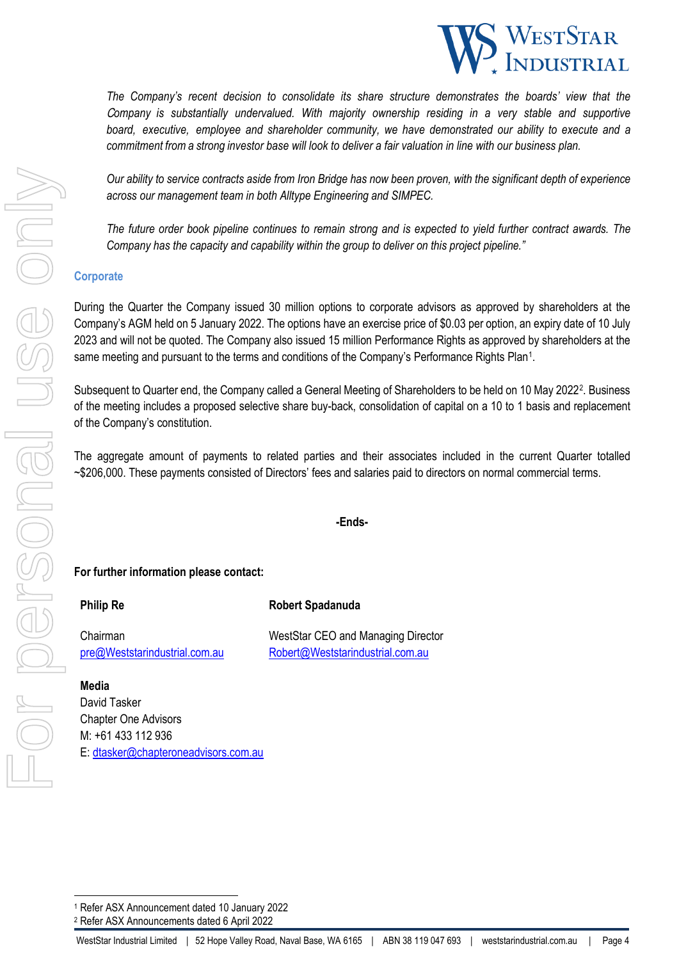

*The Company's recent decision to consolidate its share structure demonstrates the boards' view that the*  C*ompany is substantially undervalued. With majority ownership residing in a very stable and supportive board, executive, employee and shareholder community, we have demonstrated our ability to execute and a commitment from a strong investor base will look to deliver a fair valuation in line with our business plan.* 

*Our ability to service contracts aside from Iron Bridge has now been proven, with the significant depth of experience across our management team in both Alltype Engineering and SIMPEC.*

*The future order book pipeline continues to remain strong and is expected to yield further contract awards. The Company has the capacity and capability within the group to deliver on this project pipeline."*

#### **Corporate**

During the Quarter the Company issued 30 million options to corporate advisors as approved by shareholders at the Company's AGM held on 5 January 2022. The options have an exercise price of \$0.03 per option, an expiry date of 10 July 2023 and will not be quoted. The Company also issued 15 million Performance Rights as approved by shareholders at the same meeting and pursuant to the terms and conditions of the Company's Performance Rights Plan[1.](#page-3-0)

Subsequent to Quarter end, the Company called a General Meeting of Shareholders to be held on 10 May [2](#page-3-1)022<sup>2</sup>. Business of the meeting includes a proposed selective share buy-back, consolidation of capital on a 10 to 1 basis and replacement of the Company's constitution.

The aggregate amount of payments to related parties and their associates included in the current Quarter totalled ~\$206,000. These payments consisted of Directors' fees and salaries paid to directors on normal commercial terms.

**-Ends-**

#### **For further information please contact:**

**Philip Re Robert Spadanuda**

Chairman WestStar CEO and Managing Director [pre@Weststarindustrial.com.au](mailto:pre@Weststarindustrial.com.au) [Robert@Weststarindustrial.com.au](mailto:Robert@Weststarindustrial.com.au)

**Media**  David Tasker Chapter One Advisors M: +61 433 112 936 E: [dtasker@chapteroneadvisors.com.au](mailto:dtasker@chapteroneadvisors.com.au)

<sup>2</sup> Refer ASX Announcements dated 6 April 2022

For personal use only VICO POSONEI USE ON

<span id="page-3-1"></span><span id="page-3-0"></span><sup>1</sup> Refer ASX Announcement dated 10 January 2022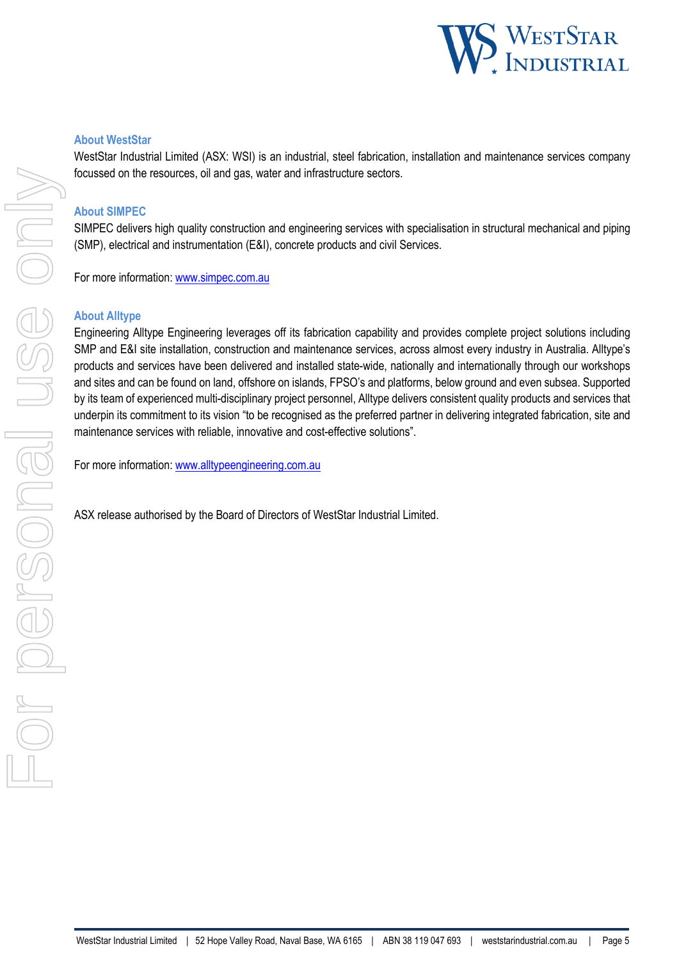

#### **About WestStar**

WestStar Industrial Limited (ASX: WSI) is an industrial, steel fabrication, installation and maintenance services company focussed on the resources, oil and gas, water and infrastructure sectors.

#### **About SIMPEC**

SIMPEC delivers high quality construction and engineering services with specialisation in structural mechanical and piping (SMP), electrical and instrumentation (E&I), concrete products and civil Services.

For more information: www.simpec.com.au

#### **About Alltype**

Engineering Alltype Engineering leverages off its fabrication capability and provides complete project solutions including SMP and E&I site installation, construction and maintenance services, across almost every industry in Australia. Alltype's products and services have been delivered and installed state-wide, nationally and internationally through our workshops and sites and can be found on land, offshore on islands, FPSO's and platforms, below ground and even subsea. Supported by its team of experienced multi-disciplinary project personnel, Alltype delivers consistent quality products and services that underpin its commitment to its vision "to be recognised as the preferred partner in delivering integrated fabrication, site and maintenance services with reliable, innovative and cost-effective solutions".

For more information: www.alltypeengineering.com.au

ASX release authorised by the Board of Directors of WestStar Industrial Limited.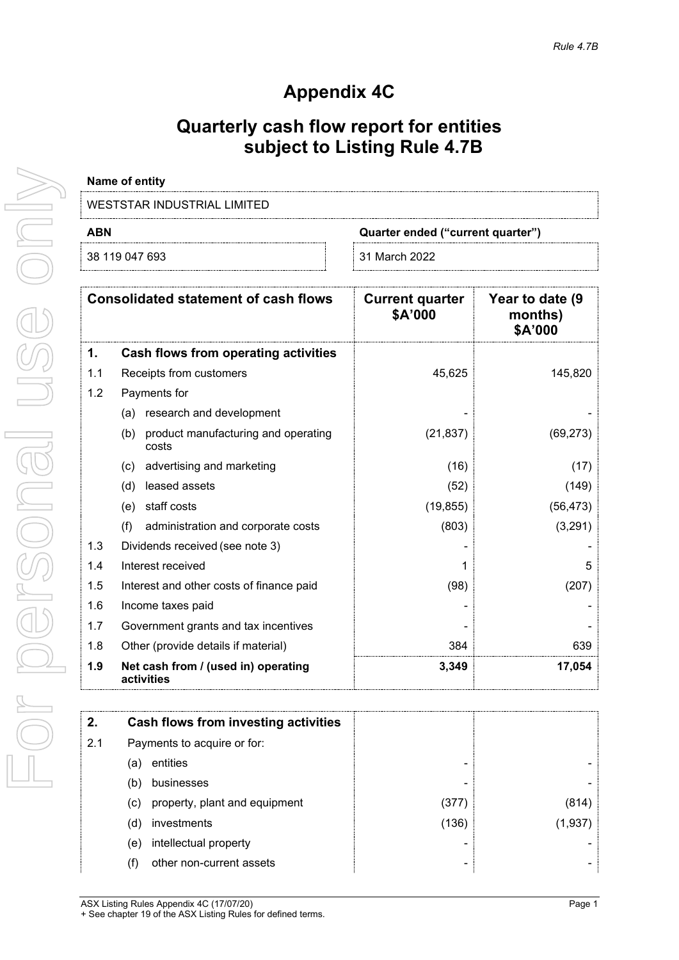# **Appendix 4C**

# **Quarterly cash flow report for entities subject to Listing Rule 4.7B**

| Name of entity              |                                   |
|-----------------------------|-----------------------------------|
| WESTSTAR INDUSTRIAL LIMITED |                                   |
| ABN                         | Quarter ended ("current quarter") |

|  | 38 119 047 693 |  |
|--|----------------|--|

31 March 2022

|     | <b>Consolidated statement of cash flows</b>         | <b>Current quarter</b><br>\$A'000 | Year to date (9)<br>months)<br>\$A'000 |
|-----|-----------------------------------------------------|-----------------------------------|----------------------------------------|
| 1.  | Cash flows from operating activities                |                                   |                                        |
| 1.1 | Receipts from customers                             | 45,625                            | 145,820                                |
| 1.2 | Payments for                                        |                                   |                                        |
|     | (a) research and development                        |                                   |                                        |
|     | product manufacturing and operating<br>(b)<br>costs | (21, 837)                         | (69, 273)                              |
|     | advertising and marketing<br>(c)                    | (16)                              | (17)                                   |
|     | leased assets<br>(d)                                | (52)                              | (149)                                  |
|     | staff costs<br>(e)                                  | (19, 855)                         | (56, 473)                              |
|     | (f)<br>administration and corporate costs           | (803)                             | (3,291)                                |
| 1.3 | Dividends received (see note 3)                     |                                   |                                        |
| 1.4 | Interest received                                   |                                   | 5                                      |
| 1.5 | Interest and other costs of finance paid            | (98)                              | (207)                                  |
| 1.6 | Income taxes paid                                   |                                   |                                        |
| 1.7 | Government grants and tax incentives                |                                   |                                        |
| 1.8 | Other (provide details if material)                 | 384                               | 639                                    |
| 1.9 | Net cash from / (used in) operating<br>activities   | 3,349                             | 17,054                                 |

| 2.  | Cash flows from investing activities |       |        |
|-----|--------------------------------------|-------|--------|
| 2.1 | Payments to acquire or for:          |       |        |
| la. | entities                             |       |        |
| (b  | businesses                           |       |        |
| (C) | property, plant and equipment        | (377  |        |
| (d) | investments                          | (136) | (1.937 |
| (e) | intellectual property                |       |        |
|     | other non-current assets             |       |        |

ASX Listing Rules Appendix 4C (17/07/20) **Page 1** + See chapter 19 of the ASX Listing Rules for defined terms.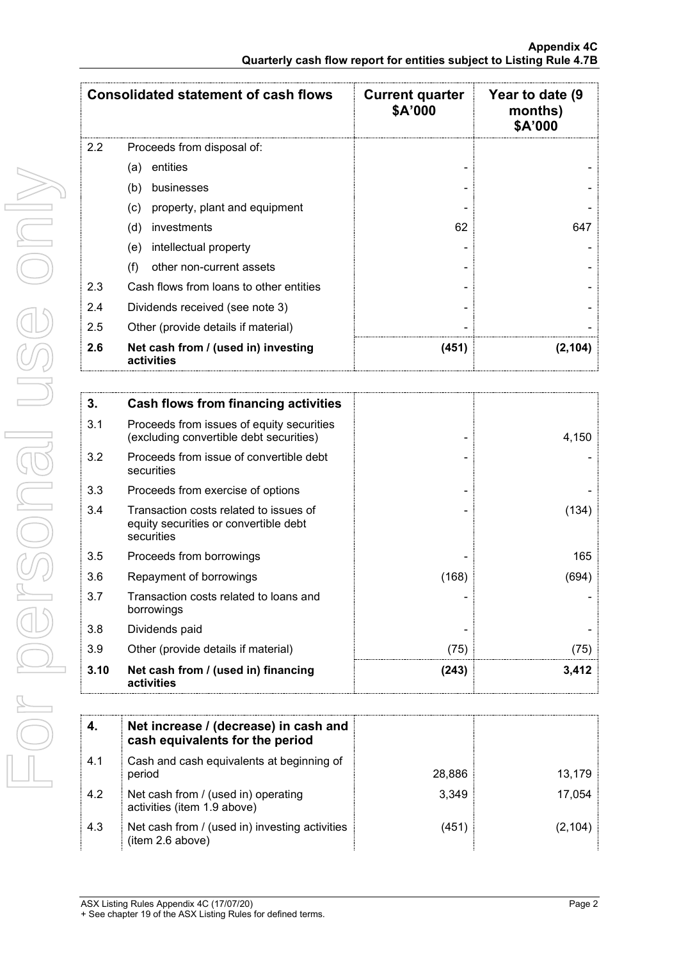|     | <b>Consolidated statement of cash flows</b>       | <b>Current quarter</b><br>\$A'000 | Year to date (9<br>months)<br>\$A'000 |
|-----|---------------------------------------------------|-----------------------------------|---------------------------------------|
| 2.2 | Proceeds from disposal of:                        |                                   |                                       |
|     | entities<br>(a)                                   |                                   |                                       |
|     | (b)<br>businesses                                 |                                   |                                       |
|     | property, plant and equipment<br>(c)              |                                   |                                       |
|     | (d)<br>investments                                | 62                                | 647                                   |
|     | intellectual property<br>(e)                      |                                   |                                       |
|     | other non-current assets<br>(f)                   |                                   |                                       |
| 2.3 | Cash flows from loans to other entities           |                                   |                                       |
| 2.4 | Dividends received (see note 3)                   |                                   |                                       |
| 2.5 | Other (provide details if material)               |                                   |                                       |
| 2.6 | Net cash from / (used in) investing<br>activities | (451)                             | (2,104)                               |

| 3.   | Cash flows from financing activities                                                          |       |       |
|------|-----------------------------------------------------------------------------------------------|-------|-------|
| 3.1  | Proceeds from issues of equity securities<br>(excluding convertible debt securities)          |       | 4,150 |
| 3.2  | Proceeds from issue of convertible debt<br>securities                                         |       |       |
| 3.3  | Proceeds from exercise of options                                                             |       |       |
| 3.4  | Transaction costs related to issues of<br>equity securities or convertible debt<br>securities |       | (134) |
| 3.5  | Proceeds from borrowings                                                                      |       | 165   |
| 3.6  | Repayment of borrowings                                                                       | (168) | (694) |
| 3.7  | Transaction costs related to loans and<br>borrowings                                          |       |       |
| 3.8  | Dividends paid                                                                                |       |       |
| 3.9  | Other (provide details if material)                                                           | (75)  | (75)  |
| 3.10 | Net cash from / (used in) financing<br>activities                                             | (243) | 3,412 |

|     | Net increase / (decrease) in cash and<br>cash equivalents for the period |        |        |
|-----|--------------------------------------------------------------------------|--------|--------|
| 4.1 | Cash and cash equivalents at beginning of<br>period                      | 28,886 | 13,179 |
| 4.2 | Net cash from / (used in) operating<br>activities (item 1.9 above)       | 3.349  | 17.054 |
| 4.3 | Net cash from / (used in) investing activities<br>(item 2.6 above)       | (451   |        |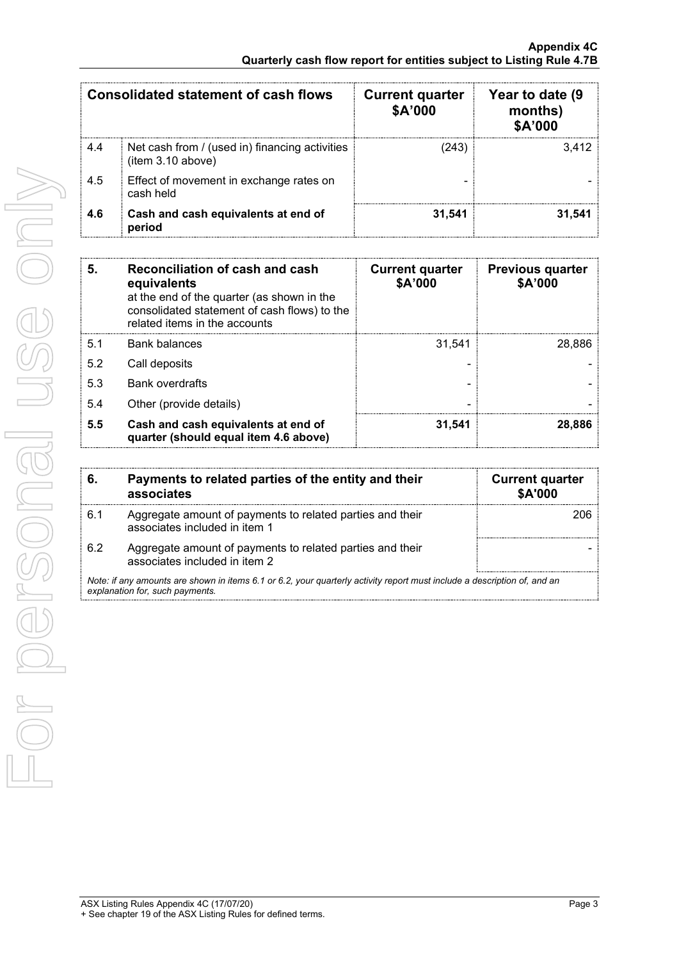| <b>Consolidated statement of cash flows</b> |                                                                     | <b>Current quarter</b><br>\$A'000 | Year to date (9<br>months)<br>\$A'000 |
|---------------------------------------------|---------------------------------------------------------------------|-----------------------------------|---------------------------------------|
| 4.4                                         | Net cash from / (used in) financing activities<br>(item 3.10 above) | (243                              | 3.412                                 |
| 4.5                                         | Effect of movement in exchange rates on<br>cash held                |                                   |                                       |
| 4.6                                         | Cash and cash equivalents at end of<br>period                       | 31.541                            | 31.541                                |

| 5.  | Reconciliation of cash and cash<br>equivalents<br>at the end of the quarter (as shown in the<br>consolidated statement of cash flows) to the<br>related items in the accounts | <b>Current quarter</b><br>\$A'000 | <b>Previous quarter</b><br>\$A'000 |
|-----|-------------------------------------------------------------------------------------------------------------------------------------------------------------------------------|-----------------------------------|------------------------------------|
| 5.1 | <b>Bank balances</b>                                                                                                                                                          | 31.541                            | 28.886                             |
| 5.2 | Call deposits                                                                                                                                                                 |                                   |                                    |
| 5.3 | <b>Bank overdrafts</b>                                                                                                                                                        |                                   |                                    |
| 5.4 | Other (provide details)                                                                                                                                                       |                                   |                                    |
| 5.5 | Cash and cash equivalents at end of<br>quarter (should equal item 4.6 above)                                                                                                  | 31.541                            | 28.886                             |

| 6.  | Payments to related parties of the entity and their<br>associates                                                                                           | <b>Current quarter</b><br><b>\$A'000</b> |
|-----|-------------------------------------------------------------------------------------------------------------------------------------------------------------|------------------------------------------|
| 6.1 | Aggregate amount of payments to related parties and their<br>associates included in item 1                                                                  |                                          |
| 6.2 | Aggregate amount of payments to related parties and their<br>associates included in item 2                                                                  |                                          |
|     | Note: if any amounts are shown in items 6.1 or 6.2, your quarterly activity report must include a description of, and an<br>explanation for, such payments. |                                          |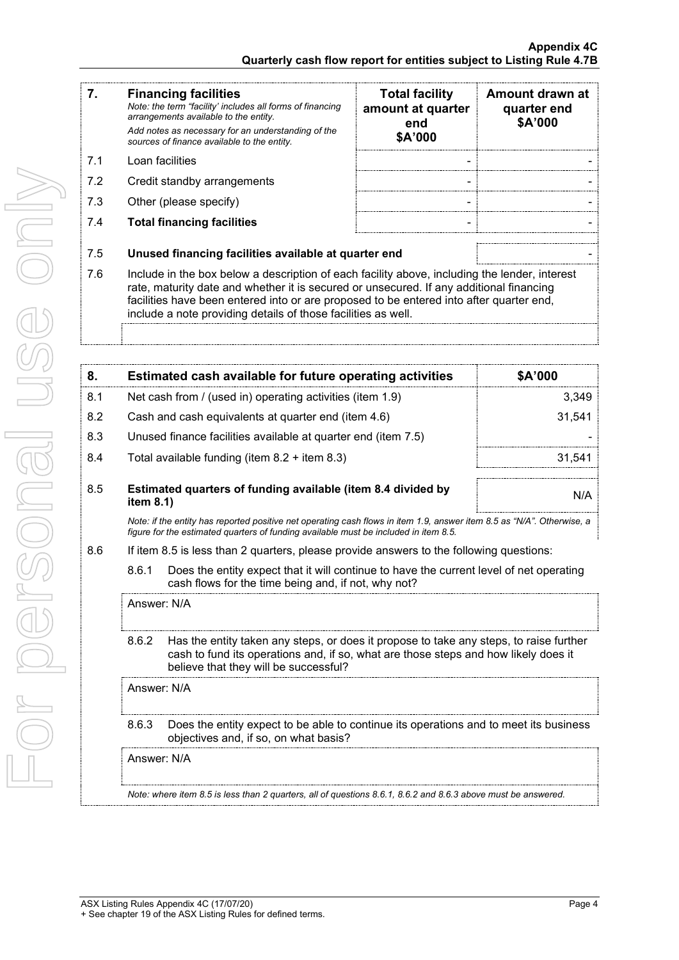| 7.  | <b>Financing facilities</b><br>Note: the term "facility' includes all forms of financing<br>arrangements available to the entity.                                                                                                                                                                                                                    | <b>Total facility</b><br>amount at quarter<br>end | Amount drawn at<br>quarter end<br>\$A'000 |
|-----|------------------------------------------------------------------------------------------------------------------------------------------------------------------------------------------------------------------------------------------------------------------------------------------------------------------------------------------------------|---------------------------------------------------|-------------------------------------------|
|     | Add notes as necessary for an understanding of the<br>sources of finance available to the entity.                                                                                                                                                                                                                                                    | \$A'000                                           |                                           |
| 7.1 | Loan facilities                                                                                                                                                                                                                                                                                                                                      |                                                   |                                           |
| 7.2 | Credit standby arrangements                                                                                                                                                                                                                                                                                                                          | -                                                 |                                           |
| 7.3 | Other (please specify)                                                                                                                                                                                                                                                                                                                               |                                                   |                                           |
| 7.4 | <b>Total financing facilities</b>                                                                                                                                                                                                                                                                                                                    |                                                   |                                           |
| 7.5 | Unused financing facilities available at quarter end                                                                                                                                                                                                                                                                                                 |                                                   |                                           |
| 7.6 | Include in the box below a description of each facility above, including the lender, interest<br>rate, maturity date and whether it is secured or unsecured. If any additional financing<br>facilities have been entered into or are proposed to be entered into after quarter end,<br>include a note providing details of those facilities as well. |                                                   |                                           |

| 8.  | Estimated cash available for future operating activities                                                             | <b>SA'000</b> |
|-----|----------------------------------------------------------------------------------------------------------------------|---------------|
| 8.1 | Net cash from / (used in) operating activities (item 1.9)                                                            | 3,349         |
| 8.2 | Cash and cash equivalents at quarter end (item 4.6)                                                                  | 31,541        |
| 8.3 | Unused finance facilities available at quarter end (item 7.5)                                                        |               |
| 8.4 | Total available funding (item $8.2 +$ item $8.3$ )                                                                   | 31.541        |
| 8.5 | Estimated quarters of funding available (item 8.4 divided by<br>item $8.1$ )                                         | N/A           |
|     | Note: if the entity has reported positive net operating cash flows in item 1.9 answer item 8.5 as "N/A" Otherwise, a |               |

*Note: if the entity has reported positive net operating cash flows in item 1.9, answer item 8.5 as "N/A". Otherwise, a figure for the estimated quarters of funding available must be included in item 8.5.*

- 8.6 If item 8.5 is less than 2 quarters, please provide answers to the following questions:
	- 8.6.1 Does the entity expect that it will continue to have the current level of net operating cash flows for the time being and, if not, why not?

Answer: N/A

8.6.2 Has the entity taken any steps, or does it propose to take any steps, to raise further cash to fund its operations and, if so, what are those steps and how likely does it believe that they will be successful?

Answer: N/A

8.6.3 Does the entity expect to be able to continue its operations and to meet its business objectives and, if so, on what basis?

Answer: N/A

*Note: where item 8.5 is less than 2 quarters, all of questions 8.6.1, 8.6.2 and 8.6.3 above must be answered.*